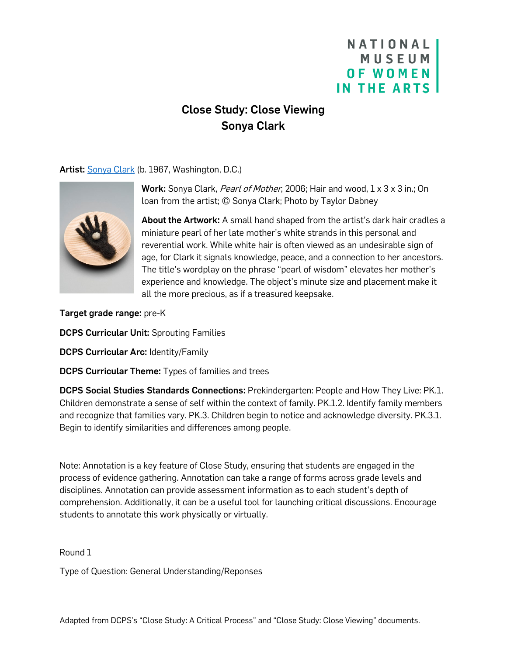## NATIONAL **MUSEUM OF WOMEN** IN THE ARTS

# Close Study: Close Viewing Sonya Clark

Artist: [Sonya Clark](https://nmwa.org/art/artists/sonya-clark/) (b. 1967, Washington, D.C.)



Work: Sonya Clark, Pearl of Mother, 2006; Hair and wood, 1 x 3 x 3 in.; On loan from the artist; © Sonya Clark; Photo by Taylor Dabney

About the Artwork: A small hand shaped from the artist's dark hair cradles a miniature pearl of her late mother's white strands in this personal and reverential work. While white hair is often viewed as an undesirable sign of age, for Clark it signals knowledge, peace, and a connection to her ancestors. The title's wordplay on the phrase "pearl of wisdom" elevates her mother's experience and knowledge. The object's minute size and placement make it all the more precious, as if a treasured keepsake.

Target grade range: pre-K

DCPS Curricular Unit: Sprouting Families

DCPS Curricular Arc: Identity/Family

**DCPS Curricular Theme:** Types of families and trees

DCPS Social Studies Standards Connections: Prekindergarten: People and How They Live: PK.1. Children demonstrate a sense of self within the context of family. PK.1.2. Identify family members and recognize that families vary. PK.3. Children begin to notice and acknowledge diversity. PK.3.1. Begin to identify similarities and differences among people.

Note: Annotation is a key feature of Close Study, ensuring that students are engaged in the process of evidence gathering. Annotation can take a range of forms across grade levels and disciplines. Annotation can provide assessment information as to each student's depth of comprehension. Additionally, it can be a useful tool for launching critical discussions. Encourage students to annotate this work physically or virtually.

Round 1

Type of Question: General Understanding/Reponses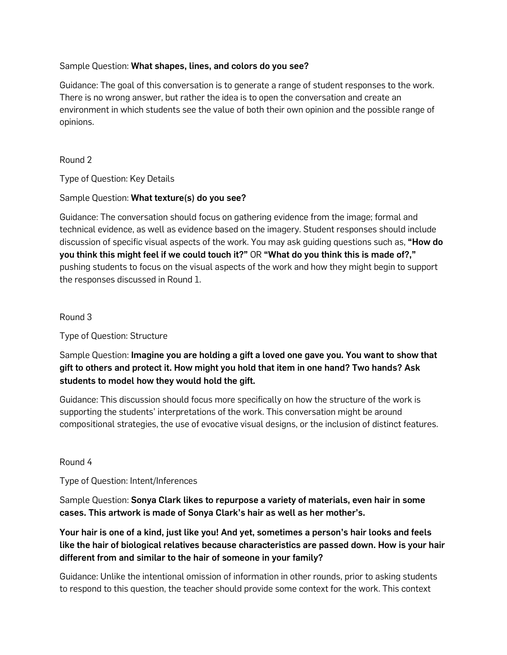### Sample Question: What shapes, lines, and colors do you see?

Guidance: The goal of this conversation is to generate a range of student responses to the work. There is no wrong answer, but rather the idea is to open the conversation and create an environment in which students see the value of both their own opinion and the possible range of opinions.

#### Round 2

Type of Question: Key Details

#### Sample Question: What texture(s) do you see?

Guidance: The conversation should focus on gathering evidence from the image; formal and technical evidence, as well as evidence based on the imagery. Student responses should include discussion of specific visual aspects of the work. You may ask quiding questions such as, "**How do** you think this might feel if we could touch it?" OR "What do you think this is made of?," pushing students to focus on the visual aspects of the work and how they might begin to support the responses discussed in Round 1.

## Round 3

Type of Question: Structure

Sample Question: Imagine you are holding a gift a loved one gave you. You want to show that gift to others and protect it. How might you hold that item in one hand? Two hands? Ask students to model how they would hold the gift.

Guidance: This discussion should focus more specifically on how the structure of the work is supporting the students' interpretations of the work. This conversation might be around compositional strategies, the use of evocative visual designs, or the inclusion of distinct features.

#### Round 4

Type of Question: Intent/Inferences

Sample Question: Sonya Clark likes to repurpose a variety of materials, even hair in some cases. This artwork is made of Sonya Clark's hair as well as her mother's.

Your hair is one of a kind, just like you! And yet, sometimes a person's hair looks and feels like the hair of biological relatives because characteristics are passed down. How is your hair different from and similar to the hair of someone in your family?

Guidance: Unlike the intentional omission of information in other rounds, prior to asking students to respond to this question, the teacher should provide some context for the work. This context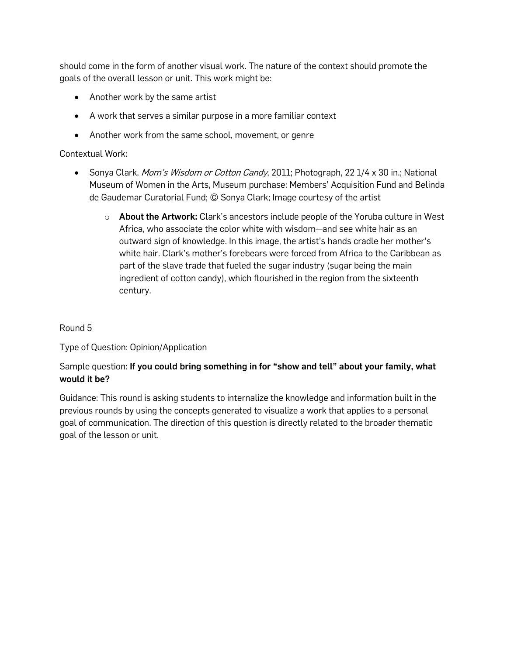should come in the form of another visual work. The nature of the context should promote the goals of the overall lesson or unit. This work might be:

- Another work by the same artist
- A work that serves a similar purpose in a more familiar context
- Another work from the same school, movement, or genre

### Contextual Work:

- Sonya Clark, *Mom's Wisdom or Cotton Candy*, 2011; Photograph, 22 1/4 x 30 in.; National Museum of Women in the Arts, Museum purchase: Members' Acquisition Fund and Belinda de Gaudemar Curatorial Fund; © Sonya Clark; Image courtesy of the artist
	- $\circ$  About the Artwork: Clark's ancestors include people of the Yoruba culture in West Africa, who associate the color white with wisdom—and see white hair as an outward sign of knowledge. In this image, the artist's hands cradle her mother's white hair. Clark's mother's forebears were forced from Africa to the Caribbean as part of the slave trade that fueled the sugar industry (sugar being the main ingredient of cotton candy), which flourished in the region from the sixteenth century.

## Round 5

Type of Question: Opinion/Application

## Sample question: If you could bring something in for "show and tell" about your family, what would it be?

Guidance: This round is asking students to internalize the knowledge and information built in the previous rounds by using the concepts generated to visualize a work that applies to a personal goal of communication. The direction of this question is directly related to the broader thematic goal of the lesson or unit.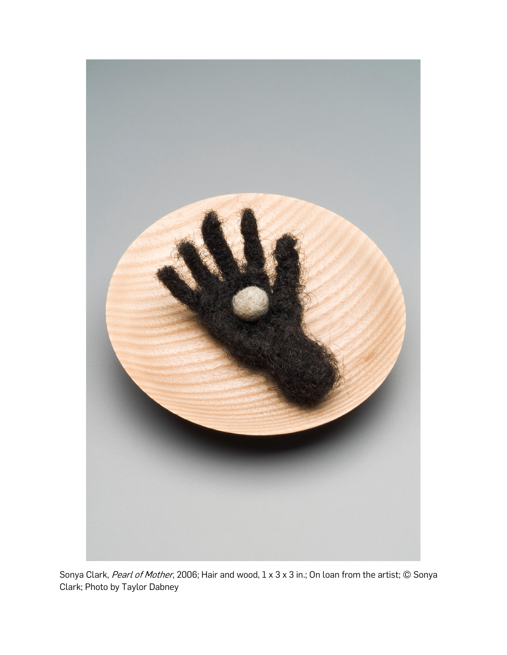

Sonya Clark, Pearl of Mother, 2006; Hair and wood, 1 x 3 x 3 in.; On loan from the artist; © Sonya Clark; Photo by Taylor Dabney